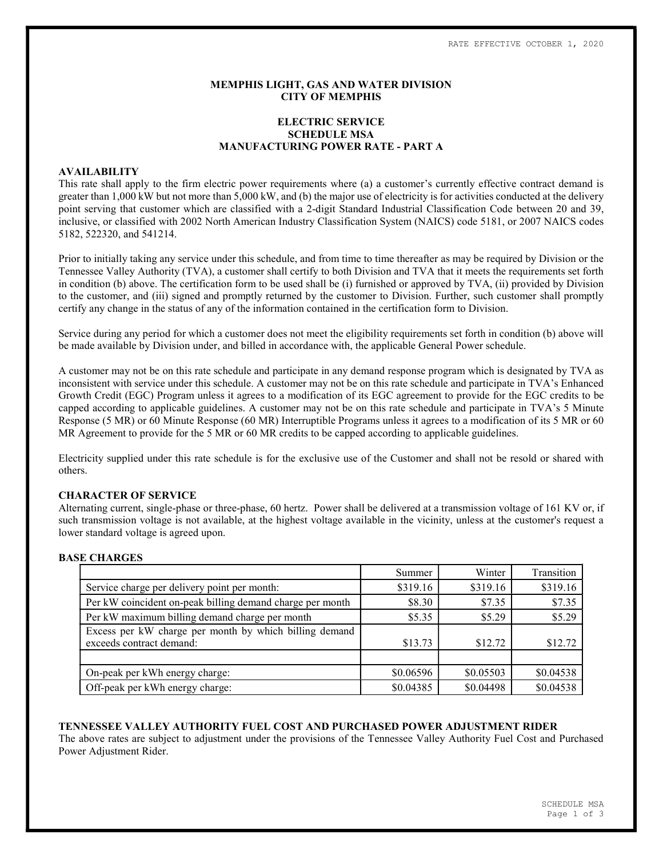# MEMPHIS LIGHT, GAS AND WATER DIVISION CITY OF MEMPHIS

# ELECTRIC SERVICE SCHEDULE MSA MANUFACTURING POWER RATE - PART A

# AVAILABILITY

This rate shall apply to the firm electric power requirements where (a) a customer's currently effective contract demand is greater than 1,000 kW but not more than 5,000 kW, and (b) the major use of electricity is for activities conducted at the delivery point serving that customer which are classified with a 2-digit Standard Industrial Classification Code between 20 and 39, inclusive, or classified with 2002 North American Industry Classification System (NAICS) code 5181, or 2007 NAICS codes 5182, 522320, and 541214.

Prior to initially taking any service under this schedule, and from time to time thereafter as may be required by Division or the Tennessee Valley Authority (TVA), a customer shall certify to both Division and TVA that it meets the requirements set forth in condition (b) above. The certification form to be used shall be (i) furnished or approved by TVA, (ii) provided by Division to the customer, and (iii) signed and promptly returned by the customer to Division. Further, such customer shall promptly certify any change in the status of any of the information contained in the certification form to Division.

Service during any period for which a customer does not meet the eligibility requirements set forth in condition (b) above will be made available by Division under, and billed in accordance with, the applicable General Power schedule.

A customer may not be on this rate schedule and participate in any demand response program which is designated by TVA as inconsistent with service under this schedule. A customer may not be on this rate schedule and participate in TVA's Enhanced Growth Credit (EGC) Program unless it agrees to a modification of its EGC agreement to provide for the EGC credits to be capped according to applicable guidelines. A customer may not be on this rate schedule and participate in TVA's 5 Minute Response (5 MR) or 60 Minute Response (60 MR) Interruptible Programs unless it agrees to a modification of its 5 MR or 60 MR Agreement to provide for the 5 MR or 60 MR credits to be capped according to applicable guidelines.

Electricity supplied under this rate schedule is for the exclusive use of the Customer and shall not be resold or shared with others.

# CHARACTER OF SERVICE

Alternating current, single-phase or three-phase, 60 hertz. Power shall be delivered at a transmission voltage of 161 KV or, if such transmission voltage is not available, at the highest voltage available in the vicinity, unless at the customer's request a lower standard voltage is agreed upon.

### BASE CHARGES

|                                                           | Summer    | Winter    | Transition |
|-----------------------------------------------------------|-----------|-----------|------------|
| Service charge per delivery point per month:              | \$319.16  | \$319.16  | \$319.16   |
| Per kW coincident on-peak billing demand charge per month | \$8.30    | \$7.35    | \$7.35     |
| Per kW maximum billing demand charge per month            | \$5.35    | \$5.29    | \$5.29     |
| Excess per kW charge per month by which billing demand    |           |           |            |
| exceeds contract demand:                                  | \$13.73   | \$12.72   | \$12.72    |
|                                                           |           |           |            |
| On-peak per kWh energy charge:                            | \$0.06596 | \$0.05503 | \$0.04538  |
| Off-peak per kWh energy charge:                           | \$0.04385 | \$0.04498 | \$0.04538  |

### TENNESSEE VALLEY AUTHORITY FUEL COST AND PURCHASED POWER ADJUSTMENT RIDER

The above rates are subject to adjustment under the provisions of the Tennessee Valley Authority Fuel Cost and Purchased Power Adjustment Rider.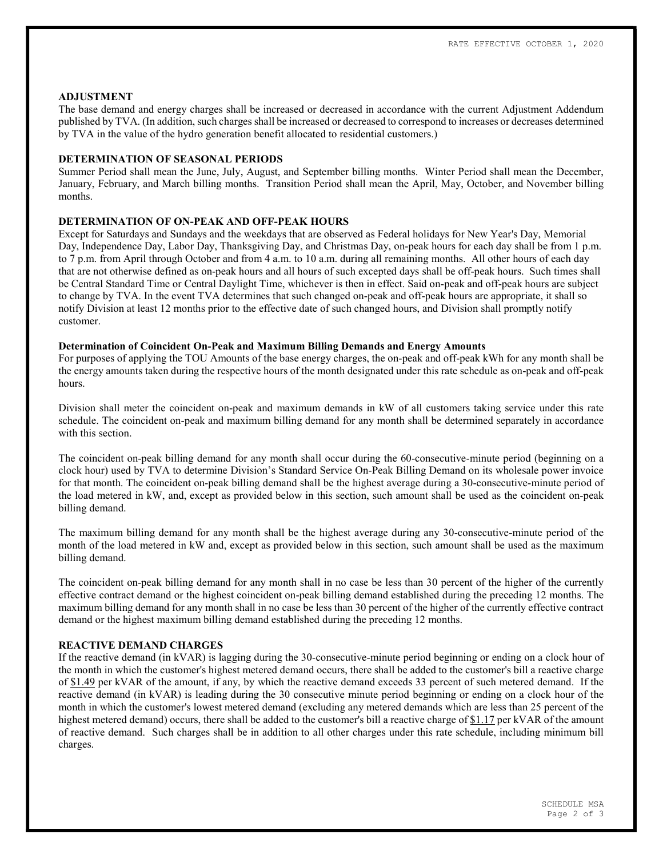### ADJUSTMENT

The base demand and energy charges shall be increased or decreased in accordance with the current Adjustment Addendum published by TVA. (In addition, such charges shall be increased or decreased to correspond to increases or decreases determined by TVA in the value of the hydro generation benefit allocated to residential customers.)

### DETERMINATION OF SEASONAL PERIODS

Summer Period shall mean the June, July, August, and September billing months. Winter Period shall mean the December, January, February, and March billing months. Transition Period shall mean the April, May, October, and November billing months.

### DETERMINATION OF ON-PEAK AND OFF-PEAK HOURS

Except for Saturdays and Sundays and the weekdays that are observed as Federal holidays for New Year's Day, Memorial Day, Independence Day, Labor Day, Thanksgiving Day, and Christmas Day, on-peak hours for each day shall be from 1 p.m. to 7 p.m. from April through October and from 4 a.m. to 10 a.m. during all remaining months. All other hours of each day that are not otherwise defined as on-peak hours and all hours of such excepted days shall be off-peak hours. Such times shall be Central Standard Time or Central Daylight Time, whichever is then in effect. Said on-peak and off-peak hours are subject to change by TVA. In the event TVA determines that such changed on-peak and off-peak hours are appropriate, it shall so notify Division at least 12 months prior to the effective date of such changed hours, and Division shall promptly notify customer.

### Determination of Coincident On-Peak and Maximum Billing Demands and Energy Amounts

For purposes of applying the TOU Amounts of the base energy charges, the on-peak and off-peak kWh for any month shall be the energy amounts taken during the respective hours of the month designated under this rate schedule as on-peak and off-peak hours.

Division shall meter the coincident on-peak and maximum demands in kW of all customers taking service under this rate schedule. The coincident on-peak and maximum billing demand for any month shall be determined separately in accordance with this section

The coincident on-peak billing demand for any month shall occur during the 60-consecutive-minute period (beginning on a clock hour) used by TVA to determine Division's Standard Service On-Peak Billing Demand on its wholesale power invoice for that month. The coincident on-peak billing demand shall be the highest average during a 30-consecutive-minute period of the load metered in kW, and, except as provided below in this section, such amount shall be used as the coincident on-peak billing demand.

The maximum billing demand for any month shall be the highest average during any 30-consecutive-minute period of the month of the load metered in kW and, except as provided below in this section, such amount shall be used as the maximum billing demand.

The coincident on-peak billing demand for any month shall in no case be less than 30 percent of the higher of the currently effective contract demand or the highest coincident on-peak billing demand established during the preceding 12 months. The maximum billing demand for any month shall in no case be less than 30 percent of the higher of the currently effective contract demand or the highest maximum billing demand established during the preceding 12 months.

# REACTIVE DEMAND CHARGES

If the reactive demand (in kVAR) is lagging during the 30-consecutive-minute period beginning or ending on a clock hour of the month in which the customer's highest metered demand occurs, there shall be added to the customer's bill a reactive charge of \$1.49 per kVAR of the amount, if any, by which the reactive demand exceeds 33 percent of such metered demand. If the reactive demand (in kVAR) is leading during the 30 consecutive minute period beginning or ending on a clock hour of the month in which the customer's lowest metered demand (excluding any metered demands which are less than 25 percent of the highest metered demand) occurs, there shall be added to the customer's bill a reactive charge of \$1.17 per kVAR of the amount of reactive demand. Such charges shall be in addition to all other charges under this rate schedule, including minimum bill charges.